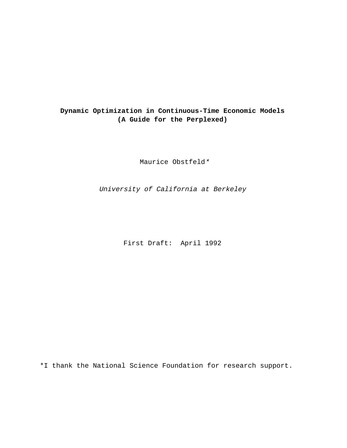## **Dynamic Optimization in Continuous-Time Economic Models (A Guide for the Perplexed)**

Maurice Obstfeld\*

University of California at Berkeley

First Draft: April 1992

\*I thank the National Science Foundation for research support.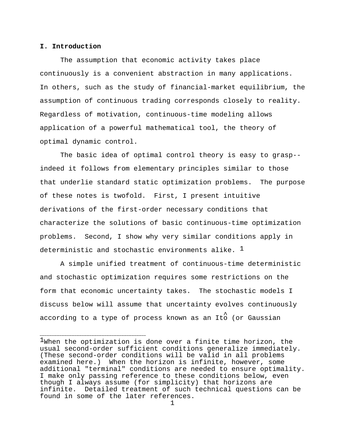## **I. Introduction**

The assumption that economic activity takes place continuously is a convenient abstraction in many applications. In others, such as the study of financial-market equilibrium, the assumption of continuous trading corresponds closely to reality. Regardless of motivation, continuous-time modeling allows application of a powerful mathematical tool, the theory of optimal dynamic control.

The basic idea of optimal control theory is easy to grasp- indeed it follows from elementary principles similar to those that underlie standard static optimization problems. The purpose of these notes is twofold. First, I present intuitive derivations of the first-order necessary conditions that characterize the solutions of basic continuous-time optimization problems. Second, I show why very similar conditions apply in deterministic and stochastic environments alike.  $\perp$ 

A simple unified treatment of continuous-time deterministic and stochastic optimization requires some restrictions on the form that economic uncertainty takes. The stochastic models I discuss below will assume that uncertainty evolves continuously according to a type of process known as an Ito (or Gaussian

 $\frac{1}{2}$ When the optimization is done over a finite time horizon, the usual second-order sufficient conditions generalize immediately. (These second-order conditions will be valid in all problems examined here.) When the horizon is infinite, however, some additional "terminal" conditions are needed to ensure optimality. I make only passing reference to these conditions below, even though I always assume (for simplicity) that horizons are infinite. Detailed treatment of such technical questions can be found in some of the later references.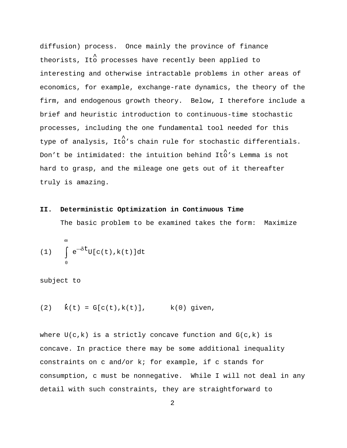diffusion) process. Once mainly the province of finance theorists, Ito processes have recently been applied to interesting and otherwise intractable problems in other areas of economics, for example, exchange-rate dynamics, the theory of the firm, and endogenous growth theory. Below, I therefore include a brief and heuristic introduction to continuous-time stochastic processes, including the one fundamental tool needed for this type of analysis, Ito's chain rule for stochastic differentials. Don't be intimidated: the intuition behind Ito's Lemma is not hard to grasp, and the mileage one gets out of it thereafter truly is amazing.

## **II. Deterministic Optimization in Continuous Time**

The basic problem to be examined takes the form: Maximize

(1) 
$$
\int_{0}^{\infty} e^{-\delta t} U[c(t), k(t)] dt
$$

subject to

(2)  $\dot{k}(t) = G[c(t), k(t)],$   $k(0)$  given,

where  $U(c,k)$  is a strictly concave function and  $G(c,k)$  is concave. In practice there may be some additional inequality constraints on c and/or k; for example, if c stands for consumption, c must be nonnegative. While I will not deal in any detail with such constraints, they are straightforward to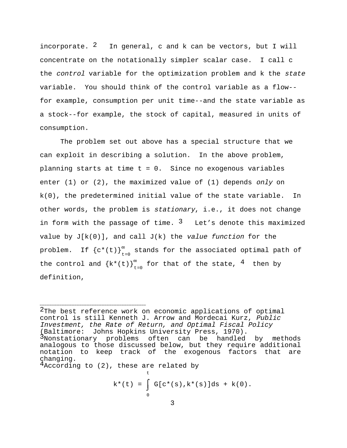incorporate.  $2\quad$  In general, c and k can be vectors, but I will concentrate on the notationally simpler scalar case. I call c the control variable for the optimization problem and k the state variable. You should think of the control variable as a flow- for example, consumption per unit time--and the state variable as a stock--for example, the stock of capital, measured in units of consumption.

The problem set out above has a special structure that we can exploit in describing a solution. In the above problem, planning starts at time  $t = 0$ . Since no exogenous variables enter  $(1)$  or  $(2)$ , the maximized value of  $(1)$  depends only on k(0), the predetermined initial value of the state variable. In other words, the problem is stationary, i.e., it does not change in form with the passage of time.  $3$  Let's denote this maximized value by  $J[k(0)]$ , and call  $J(k)$  the value function for the problem. If  ${c^*(t)}_{t=0}^{\infty}$  stands for the associated optimal path of the control and  ${k*(t)}_{t=0}^{\infty}$  for that of the state,  $4$  then by definition,

 $4$ According to  $(2)$ , these are related by

t  $k^*(t) = \int G[c^*(s), k^*(s)]ds + k(0).$ 0

 $2$ The best reference work on economic applications of optimal control is still Kenneth J. Arrow and Mordecai Kurz, Public Investment, the Rate of Return, and Optimal Fiscal Policy (Baltimore: Johns Hopkins University Press, 1970). 3Nonstationary problems often can be handled by methods analogous to those discussed below, but they require additional notation to keep track of the exogenous factors that are changing.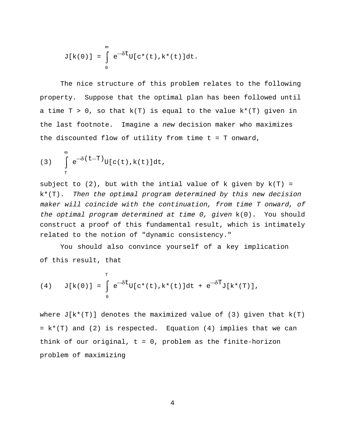$$
J[k(0)] = \int_{0}^{\infty} e^{-\delta t} U[c^{*}(t), k^{*}(t)]dt.
$$

The nice structure of this problem relates to the following property. Suppose that the optimal plan has been followed until a time  $T > 0$ , so that  $k(T)$  is equal to the value  $k^*(T)$  given in the last footnote. Imagine a new decision maker who maximizes the discounted flow of utility from time t = T onward,

(3) 
$$
\int_{T}^{\infty} e^{-\delta (t-T)} U[c(t), k(t)] dt,
$$

subject to  $(2)$ , but with the intial value of k given by  $k(T) =$ k\*(T). Then the optimal program determined by this new decision maker will coincide with the continuation, from time T onward, of the optimal program determined at time 0, given k(0). You should construct a proof of this fundamental result, which is intimately related to the notion of "dynamic consistency."

You should also convince yourself of a key implication of this result, that

(4) 
$$
J[k(0)] = \int_{0}^{T} e^{-\delta t} U[c^{*}(t), k^{*}(t)]dt + e^{-\delta T} J[k^{*}(T)],
$$

where  $J[k*(T)]$  denotes the maximized value of (3) given that  $k(T)$ = k\*(T) and (2) is respected. Equation (4) implies that we can think of our original,  $t = 0$ , problem as the finite-horizon problem of maximizing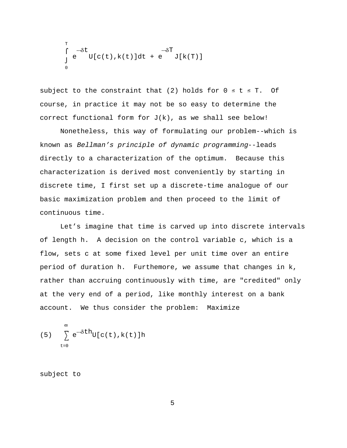$$
\int_{0}^{T} e^{-\delta t} U[c(t),k(t)]dt + e^{-\delta T}
$$

subject to the constraint that (2) holds for  $0 \le t \le T$ . Of course, in practice it may not be so easy to determine the correct functional form for J(k), as we shall see below!

Nonetheless, this way of formulating our problem--which is known as Bellman's principle of dynamic programming--leads directly to a characterization of the optimum. Because this characterization is derived most conveniently by starting in discrete time, I first set up a discrete-time analogue of our basic maximization problem and then proceed to the limit of continuous time.

Let's imagine that time is carved up into discrete intervals of length h. A decision on the control variable c, which is a flow, sets c at some fixed level per unit time over an entire period of duration h. Furthemore, we assume that changes in k, rather than accruing continuously with time, are "credited" only at the very end of a period, like monthly interest on a bank account. We thus consider the problem: Maximize

(5) 
$$
\sum_{t=0}^{\infty} e^{-\delta t h} U[c(t), k(t)] h
$$

subject to

5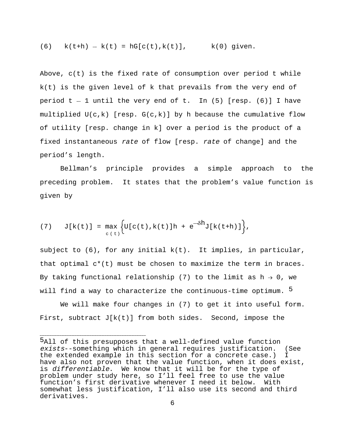(6) 
$$
k(t+h) - k(t) = hG[c(t), k(t)],
$$
  $k(0)$  given.

Above, c(t) is the fixed rate of consumption over period t while k(t) is the given level of k that prevails from the very end of period  $t - 1$  until the very end of t. In (5) [resp. (6)] I have multiplied  $U(c,k)$  [resp.  $G(c,k)$ ] by h because the cumulative flow of utility [resp. change in k] over a period is the product of a fixed instantaneous rate of flow [resp. rate of change] and the period's length.

Bellman's principle provides a simple approach to the preceding problem. It states that the problem's value function is given by

(7) 
$$
J[k(t)] = \max_{c(t)} \left\{ U[c(t), k(t)]h + e^{-\delta h} J[k(t+h)] \right\},
$$

subject to  $(6)$ , for any initial  $k(t)$ . It implies, in particular, that optimal  $c^*(t)$  must be chosen to maximize the term in braces. By taking functional relationship (7) to the limit as  $h \rightarrow 0$ , we will find a way to characterize the continuous-time optimum. <sup>5</sup>

We will make four changes in (7) to get it into useful form. First, subtract  $J[k(t)]$  from both sides. Second, impose the

ball of this presupposes that a well-defined value function exists--something which in general requires justification. (See the extended example in this section for a concrete case.) I have also not proven that the value function, when it does exist, is differentiable. We know that it will be for the type of problem under study here, so I'll feel free to use the value function's first derivative whenever I need it below. With somewhat less justification, I'll also use its second and third derivatives.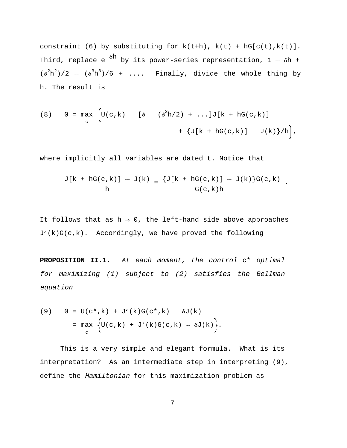constraint (6) by substituting for  $k(t+h)$ ,  $k(t) + hG[c(t),k(t)].$ Third, replace  $e^{-\delta h}$  by its power-series representation, 1 --  $\delta h$  +  $(\delta^2 h^2)/2$  -- $(\delta^3 h^3)/6$  + .... Finally, divide the whole thing by h. The result is

(8) 
$$
0 = \max_{c} \left[ U(c, k) - [\delta - (\delta^{2}h/2) + ...] J[k + hG(c, k)] + \{ J[k + hG(c, k)] - J(k) \} / h \right],
$$

where implicitly all variables are dated t. Notice that

$$
\frac{J[k + hG(c,k)] - J(k)}{h} = \frac{\{J[k + hG(c,k)] - J(k)\}G(c,k)}{G(c,k)h}.
$$

It follows that as  $h \rightarrow 0$ , the left-hand side above approaches J'(k)G(c,k). Accordingly, we have proved the following

**PROPOSITION II.1.** At each moment, the control c\* optimal for maximizing (1) subject to (2) satisfies the Bellman equation

(9) 
$$
0 = U(c^*, k) + J'(k)G(c^*, k) - \delta J(k)
$$

$$
= \max_{c} \left\{ U(c, k) + J'(k)G(c, k) - \delta J(k) \right\}.
$$

This is a very simple and elegant formula. What is its interpretation? As an intermediate step in interpreting (9), define the Hamiltonian for this maximization problem as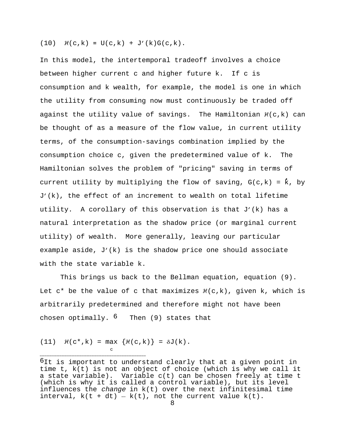(10)  $\mathcal{H}(c,k) = U(c,k) + J'(k)G(c,k)$ .

In this model, the intertemporal tradeoff involves a choice between higher current c and higher future k. If c is consumption and k wealth, for example, the model is one in which the utility from consuming now must continuously be traded off against the utility value of savings. The Hamiltonian  $\mathcal{H}(c,k)$  can be thought of as a measure of the flow value, in current utility terms, of the consumption-savings combination implied by the consumption choice c, given the predetermined value of k. The Hamiltonian solves the problem of "pricing" saving in terms of current utility by multiplying the flow of saving,  $G(c,k) = k$ , by J'(k), the effect of an increment to wealth on total lifetime utility. A corollary of this observation is that J'(k) has a natural interpretation as the shadow price (or marginal current utility) of wealth. More generally, leaving our particular example aside, J'(k) is the shadow price one should associate with the state variable k.

This brings us back to the Bellman equation, equation (9). Let  $c^*$  be the value of c that maximizes  $\mathcal{H}(c,k)$ , given k, which is arbitrarily predetermined and therefore might not have been chosen optimally.  $6$  Then (9) states that

(11)  $\mathcal{H}(c^*, k) = \max \{ \mathcal{H}(c, k) \} = \delta J(k)$ . c

 $^6$ It is important to understand clearly that at a given point in time t, k(t) is not an object of choice (which is why we call it a state variable). Variable c(t) can be chosen freely at time t (which is why it is called a control variable), but its level influences the *change* in  $k(t)$  over the next infinitesimal time interval,  $k(t + dt) - k(t)$ , not the current value  $k(t)$ .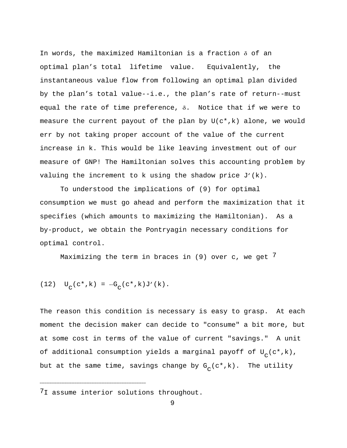In words, the maximized Hamiltonian is a fraction  $\delta$  of an optimal plan's total lifetime value. Equivalently, the instantaneous value flow from following an optimal plan divided by the plan's total value--i.e., the plan's rate of return--must equal the rate of time preference,  $\delta$ . Notice that if we were to measure the current payout of the plan by U(c\*,k) alone, we would err by not taking proper account of the value of the current increase in k. This would be like leaving investment out of our measure of GNP! The Hamiltonian solves this accounting problem by valuing the increment to k using the shadow price  $J'(k)$ .

To understood the implications of (9) for optimal consumption we must go ahead and perform the maximization that it specifies (which amounts to maximizing the Hamiltonian). As a by-product, we obtain the Pontryagin necessary conditions for optimal control.

Maximizing the term in braces in  $(9)$  over c, we get  $'$ 

(12) 
$$
U_C(c^*, k) = -G_C(c^*, k)J'(k)
$$
.

The reason this condition is necessary is easy to grasp. At each moment the decision maker can decide to "consume" a bit more, but at some cost in terms of the value of current "savings." A unit of additional consumption yields a marginal payoff of  $U_{\alpha}(c^*,k)$ , but at the same time, savings change by  $G_{\alpha}(c^*,k)$ . The utility

<sup>&</sup>lt;sup>7</sup>I assume interior solutions throughout.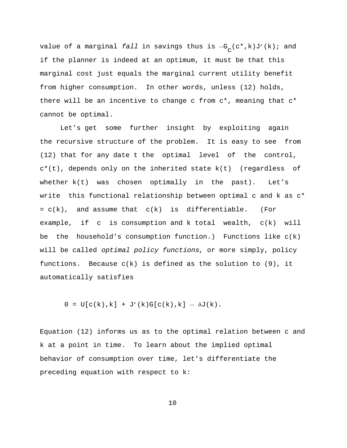value of a marginal fall in savings thus is  $-G_C(c*,k)J'(k)$ ; and if the planner is indeed at an optimum, it must be that this marginal cost just equals the marginal current utility benefit from higher consumption. In other words, unless (12) holds, there will be an incentive to change c from  $c^*$ , meaning that  $c^*$ cannot be optimal.

Let's get some further insight by exploiting again the recursive structure of the problem. It is easy to see from (12) that for any date t the optimal level of the control, c\*(t), depends only on the inherited state k(t) (regardless of whether k(t) was chosen optimally in the past). Let's write this functional relationship between optimal c and k as c\*  $= c(k)$ , and assume that  $c(k)$  is differentiable. (For example, if c is consumption and k total wealth, c(k) will be the household's consumption function.) Functions like  $c(k)$ will be called *optimal policy functions*, or more simply, policy functions. Because  $c(k)$  is defined as the solution to  $(9)$ , it automatically satisfies

 $0 = U[c(k),k] + J'(k)G[c(k),k] - \delta J(k).$ 

Equation (12) informs us as to the optimal relation between c and k at a point in time. To learn about the implied optimal behavior of consumption over time, let's differentiate the preceding equation with respect to k: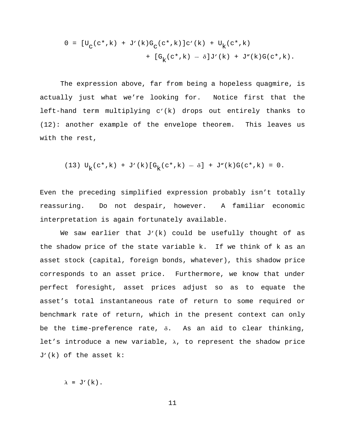$$
0 = [U_C(c*,k) + J'(k)G_C(c*,k)]c'(k) + U_K(c*,k) + [G_K(c*,k) - \delta]J'(k) + J''(k)G(c*,k).
$$

The expression above, far from being a hopeless quagmire, is actually just what we're looking for. Notice first that the left-hand term multiplying c'(k) drops out entirely thanks to (12): another example of the envelope theorem. This leaves us with the rest,

(13) 
$$
U_k(c^*, k) + J'(k) [G_k(c^*, k) - \delta] + J''(k)G(c^*, k) = 0.
$$

Even the preceding simplified expression probably isn't totally reassuring. Do not despair, however. A familiar economic interpretation is again fortunately available.

We saw earlier that J'(k) could be usefully thought of as the shadow price of the state variable k. If we think of k as an asset stock (capital, foreign bonds, whatever), this shadow price corresponds to an asset price. Furthermore, we know that under perfect foresight, asset prices adjust so as to equate the asset's total instantaneous rate of return to some required or benchmark rate of return, which in the present context can only be the time-preference rate,  $\delta$ . As an aid to clear thinking, let's introduce a new variable,  $\lambda$ , to represent the shadow price J'(k) of the asset k:

 $\lambda \equiv J'(k)$ .

11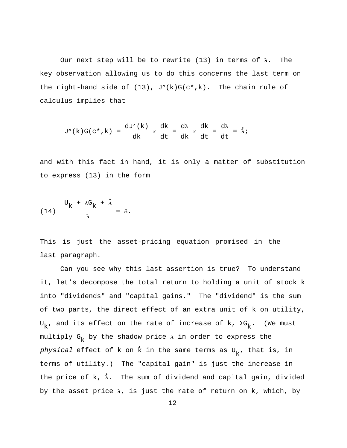Our next step will be to rewrite (13) in terms of  $\lambda$ . The key observation allowing us to do this concerns the last term on the right-hand side of  $(13)$ ,  $J''(k)G(c*,k)$ . The chain rule of calculus implies that

$$
J''(k)G(c^*,k) = \frac{dJ'(k)}{dk} \times \frac{dk}{dt} = \frac{d\lambda}{dk} \times \frac{dk}{dt} = \frac{d\lambda}{dt} = \dot{\lambda}i
$$

and with this fact in hand, it is only a matter of substitution to express (13) in the form

(14) 
$$
\frac{U_k + \lambda G_k + \lambda}{\lambda} = \delta.
$$

This is just the asset-pricing equation promised in the last paragraph.

Can you see why this last assertion is true? To understand it, let's decompose the total return to holding a unit of stock k into "dividends" and "capital gains." The "dividend" is the sum of two parts, the direct effect of an extra unit of k on utility,  $U_{k}$ , and its effect on the rate of increase of k,  $\lambda G_{k}$ . (We must multiply G<sub>k</sub> by the shadow price  $\lambda$  in order to express the physical effect of k on  $\dot{k}$  in the same terms as U<sub>k</sub>, that is, in terms of utility.) The "capital gain" is just the increase in the price of k,  $\lambda$ . The sum of dividend and capital gain, divided by the asset price  $\lambda$ , is just the rate of return on k, which, by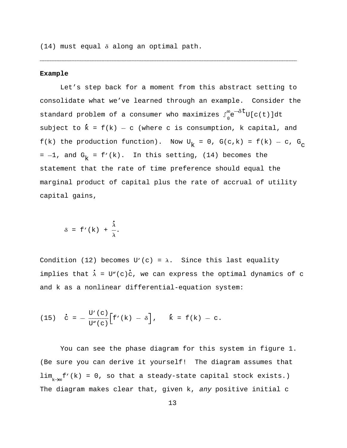$(14)$  must equal  $\delta$  along an optimal path.

## **Example**

Let's step back for a moment from this abstract setting to consolidate what we've learned through an example. Consider the standard problem of a consumer who maximizes  $\int_0^\infty \!\! e^{-\delta t} \mathbb{U}[c(t)] \mathrm{d}t$ subject to  $\dot{k}$  =  $f(k)$  - c (where c is consumption, k capital, and f(k) the production function). Now  $U_k = 0$ ,  $G(c, k) = f(k) - c$ ,  $G_c$ =  $-1$ , and G<sub>k</sub> = f'(k). In this setting, (14) becomes the statement that the rate of time preference should equal the marginal product of capital plus the rate of accrual of utility capital gains,

------------------------------------------------------------------------------------------------------------------------------------------------------------------------------------------------------------------------------------------------------------------------------------------------------------------------------------------------------------------------------------------

$$
\delta = f'(k) + \frac{\dot{\lambda}}{\lambda}.
$$

Condition (12) becomes U'(c) =  $\lambda$ . Since this last equality implies that  $\dot{\lambda}$  = U"(c)c, we can express the optimal dynamics of c and k as a nonlinear differential-equation system:

(15) 
$$
\dot{c} = -\frac{U'(c)}{U''(c)} [f'(k) - \delta], \quad \dot{k} = f(k) - c.
$$

You can see the phase diagram for this system in figure 1. (Be sure you can derive it yourself! The diagram assumes that  $\lim_{k\to\infty} f'(k) = 0$ , so that a steady-state capital stock exists.) The diagram makes clear that, given k, any positive initial c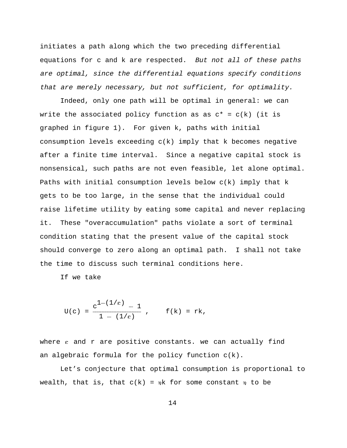initiates a path along which the two preceding differential equations for c and k are respected. But not all of these paths are optimal, since the differential equations specify conditions that are merely necessary, but not sufficient, for optimality.

Indeed, only one path will be optimal in general: we can write the associated policy function as as  $c^* = c(k)$  (it is graphed in figure 1). For given k, paths with initial consumption levels exceeding  $c(k)$  imply that k becomes negative after a finite time interval. Since a negative capital stock is nonsensical, such paths are not even feasible, let alone optimal. Paths with initial consumption levels below c(k) imply that k gets to be too large, in the sense that the individual could raise lifetime utility by eating some capital and never replacing it. These "overaccumulation" paths violate a sort of terminal condition stating that the present value of the capital stock should converge to zero along an optimal path. I shall not take the time to discuss such terminal conditions here.

If we take

$$
U(c) = \frac{c^{1-(1/\epsilon)} - 1}{1 - (1/\epsilon)} , \qquad f(k) = rk,
$$

where  $\varepsilon$  and  $r$  are positive constants. we can actually find an algebraic formula for the policy function c(k).

Let's conjecture that optimal consumption is proportional to wealth, that is, that  $c(k) = \eta k$  for some constant  $\eta$  to be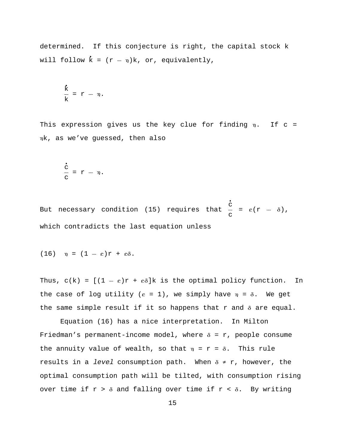determined. If this conjecture is right, the capital stock k will follow  $\dot{k} = (r - \eta)k$ , or, equivalently,

$$
\frac{\dot{k}}{k} = r - \eta.
$$

This expression gives us the key clue for finding  $\eta$ . If c = hk, as we've guessed, then also

$$
\frac{\dot{c}}{c} = r - \eta.
$$

But necessary condition (15) requires that  $\begin{array}{ccc} \cdot & \cdot & \cdot \\ c & = & \varepsilon (r - \delta) \, , \end{array}$ c which contradicts the last equation unless

$$
(16) \quad \eta = (1 - \varepsilon)r + \varepsilon\delta.
$$

Thus,  $c(k) = [(1 - \varepsilon)r + \varepsilon\delta]k$  is the optimal policy function. In the case of log utility  $(\varepsilon = 1)$ , we simply have  $\eta = \delta$ . We get the same simple result if it so happens that  $r$  and  $\delta$  are equal.

Equation (16) has a nice interpretation. In Milton Friedman's permanent-income model, where  $\delta = r$ , people consume the annuity value of wealth, so that  $\eta$  = r =  $\delta$ . This rule results in a level consumption path. When  $\delta \neq r$ , however, the optimal consumption path will be tilted, with consumption rising over time if  $r > \delta$  and falling over time if  $r < \delta$ . By writing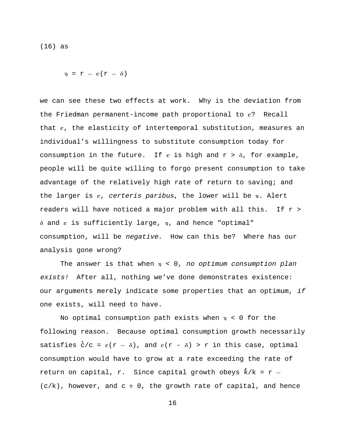(16) as

 $\eta = r - \varepsilon(r - \delta)$ 

we can see these two effects at work. Why is the deviation from the Friedman permanent-income path proportional to e? Recall that e, the elasticity of intertemporal substitution, measures an individual's willingness to substitute consumption today for consumption in the future. If  $\varepsilon$  is high and  $r > \delta$ , for example, people will be quite willing to forgo present consumption to take advantage of the relatively high rate of return to saving; and the larger is  $\varepsilon$ , certeris paribus, the lower will be  $\eta$ . Alert readers will have noticed a major problem with all this. If r >  $\delta$  and  $\epsilon$  is sufficiently large,  $\eta$ , and hence "optimal" consumption, will be negative. How can this be? Where has our analysis gone wrong?

The answer is that when  $n < 0$ , no optimum consumption plan exists! After all, nothing we've done demonstrates existence: our arguments merely indicate some properties that an optimum, if one exists, will need to have.

No optimal consumption path exists when  $\eta$  < 0 for the following reason. Because optimal consumption growth necessarily satisfies  $c/c = \varepsilon(r - \delta)$ , and  $\varepsilon(r - \delta) > r$  in this case, optimal consumption would have to grow at a rate exceeding the rate of return on capital, r. Since capital growth obeys  $k/k = r (c/k)$ , however, and  $c \ge 0$ , the growth rate of capital, and hence

16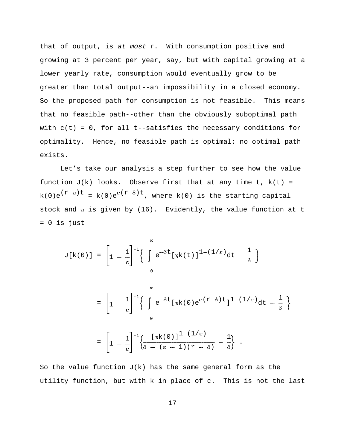that of output, is at most r. With consumption positive and growing at 3 percent per year, say, but with capital growing at a lower yearly rate, consumption would eventually grow to be greater than total output--an impossibility in a closed economy. So the proposed path for consumption is not feasible. This means that no feasible path--other than the obviously suboptimal path with  $c(t) = 0$ , for all t--satisfies the necessary conditions for optimality. Hence, no feasible path is optimal: no optimal path exists.

Let's take our analysis a step further to see how the value function  $J(k)$  looks. Observe first that at any time t,  $k(t)$  =  $k(0)e^{(\Upsilon-\eta)t} = k(0)e^{\varepsilon(\Upsilon-\delta)t}$ , where  $k(0)$  is the starting capital stock and  $\eta$  is given by (16). Evidently, the value function at t = 0 is just

$$
J[k(0)] = \left[1 - \frac{1}{\epsilon}\right]^{-1} \left\{\int_{0}^{\infty} e^{-\delta t} [\eta k(t)]^{1-(1/\epsilon)} dt - \frac{1}{\delta} \right\}
$$

$$
= \left[1 - \frac{1}{\epsilon}\right]^{-1} \left\{\int_{0}^{\infty} e^{-\delta t} [\eta k(0) e^{\epsilon(r-\delta)t}]^{1-(1/\epsilon)} dt - \frac{1}{\delta} \right\}
$$

$$
= \left[1 - \frac{1}{\epsilon}\right]^{-1} \left\{\frac{[\eta k(0)]^{1-(1/\epsilon)}}{\delta - (\epsilon - 1)(r - \delta)} - \frac{1}{\delta} \right\}.
$$

So the value function  $J(k)$  has the same general form as the utility function, but with k in place of c. This is not the last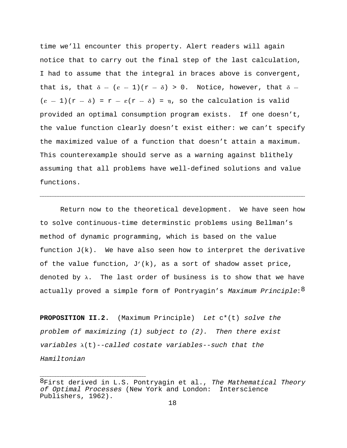time we'll encounter this property. Alert readers will again notice that to carry out the final step of the last calculation, I had to assume that the integral in braces above is convergent, that is, that  $\delta - (\epsilon - 1)(r - \delta) > 0$ . Notice, however, that  $\delta$  - $(\epsilon - 1)(r - \delta) = r - \epsilon(r - \delta) = \eta$ , so the calculation is valid provided an optimal consumption program exists. If one doesn't, the value function clearly doesn't exist either: we can't specify the maximized value of a function that doesn't attain a maximum. This counterexample should serve as a warning against blithely assuming that all problems have well-defined solutions and value functions.

Return now to the theoretical development. We have seen how to solve continuous-time determinstic problems using Bellman's method of dynamic programming, which is based on the value function  $J(k)$ . We have also seen how to interpret the derivative of the value function,  $J'(k)$ , as a sort of shadow asset price, denoted by  $\lambda$ . The last order of business is to show that we have actually proved a simple form of Pontryagin's Maximum Principle:<sup>8</sup>

------------------------------------------------------------------------------------------------------------------------------------------------------------------------------------------------------------------------------------------------------------------------------------------------------------------------------------------------------------------------------------------------------

**PROPOSITION II.2.** (Maximum Principle) Let c\*(t) solve the problem of maximizing (1) subject to (2). Then there exist variables  $\lambda(t)$ --called costate variables--such that the Hamiltonian

 ${}^{8}$ First derived in L.S. Pontryagin et al., The Mathematical Theory of Optimal Processes (New York and London: Interscience Publishers, 1962).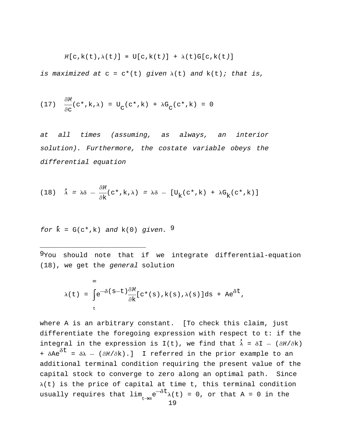$$
\mathcal{H}[c, k(t), \lambda(t)] \equiv U[c, k(t)] + \lambda(t)G[c, k(t)]
$$

is maximized at  $c = c^*(t)$  given  $\lambda(t)$  and  $k(t)$ ; that is,

(17) 
$$
\frac{\partial \mathcal{H}}{\partial c}(c^*, k, \lambda) = U_c(c^*, k) + \lambda G_c(c^*, k) = 0
$$

at all times (assuming, as always, an interior solution). Furthermore, the costate variable obeys the differential equation

(18) 
$$
\dot{\lambda} = \lambda \delta - \frac{\partial \mathcal{H}}{\partial k} (c^*, k, \lambda) = \lambda \delta - [U_k(c^*, k) + \lambda G_k(c^*, k)]
$$

for 
$$
\dot{k} = G(c^*, k)
$$
 and  $k(0)$  given. <sup>9</sup>

------------------------------------------------------------------------------------------------------------------------------------------------------------

 $9$ You should note that if we integrate differential-equation (18), we get the general solution

$$
\lambda(t) = \int_{t}^{\infty} e^{-\delta(s-t)} \frac{\partial \mathcal{H}}{\partial k} [c^*(s), k(s), \lambda(s)] ds + Ae^{\delta t},
$$

where A is an arbitrary constant. [To check this claim, just differentiate the foregoing expression with respect to t: if the integral in the expression is I(t), we find that  $\dot{\lambda} = \delta I - (\partial \mathcal{H}/\partial k)$ +  $\delta \text{Ae}^{\delta t}$  =  $\delta \lambda$  - ( $\partial \mathcal{H}/\partial \text{k}$ ).] I referred in the prior example to an additional terminal condition requiring the present value of the capital stock to converge to zero along an optimal path. Since  $\lambda(t)$  is the price of capital at time t, this terminal condition usually requires that lim  $\int_{\infty} e^{-\delta t} \lambda(t) = 0$ , or that A = 0 in the  $t\rightarrow\infty$ <sup>e</sup>  $\lambda$ (1